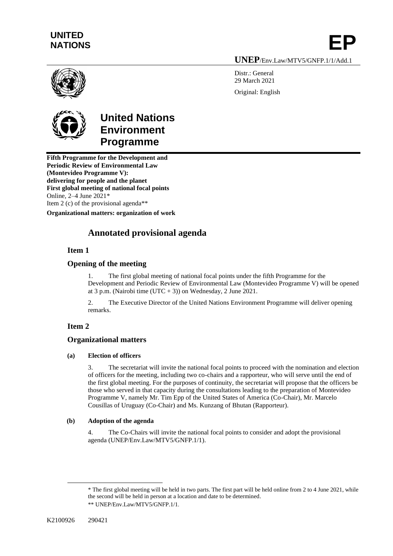# **UNITED**  UNITED<br>NATIONS **EP**

**UNEP**/Env.Law/MTV5/GNFP.1/1/Add.1

Distr.: General 29 March 2021 Original: English





# **United Nations Environment Programme**

**Fifth Programme for the Development and Periodic Review of Environmental Law (Montevideo Programme V): delivering for people and the planet First global meeting of national focal points** Online, 2–4 June 2021\* Item 2 (c) of the provisional agenda\*\*

**Organizational matters: organization of work**

# **Annotated provisional agenda**

## **Item 1**

## **Opening of the meeting**

1. The first global meeting of national focal points under the fifth Programme for the Development and Periodic Review of Environmental Law (Montevideo Programme V) will be opened at 3 p.m. (Nairobi time  $(UTC + 3)$ ) on Wednesday, 2 June 2021.

2. The Executive Director of the United Nations Environment Programme will deliver opening remarks.

# **Item 2**

# **Organizational matters**

## **(a) Election of officers**

3. The secretariat will invite the national focal points to proceed with the nomination and election of officers for the meeting, including two co-chairs and a rapporteur, who will serve until the end of the first global meeting. For the purposes of continuity, the secretariat will propose that the officers be those who served in that capacity during the consultations leading to the preparation of Montevideo Programme V, namely Mr. Tim Epp of the United States of America (Co-Chair), Mr. Marcelo Cousillas of Uruguay (Co-Chair) and Ms. Kunzang of Bhutan (Rapporteur).

## **(b) Adoption of the agenda**

4. The Co-Chairs will invite the national focal points to consider and adopt the provisional agenda (UNEP/Env.Law/MTV5/GNFP.1/1).

<sup>\*</sup> The first global meeting will be held in two parts. The first part will be held online from 2 to 4 June 2021, while the second will be held in person at a location and date to be determined. \*\* UNEP/Env.Law/MTV5/GNFP.1/1.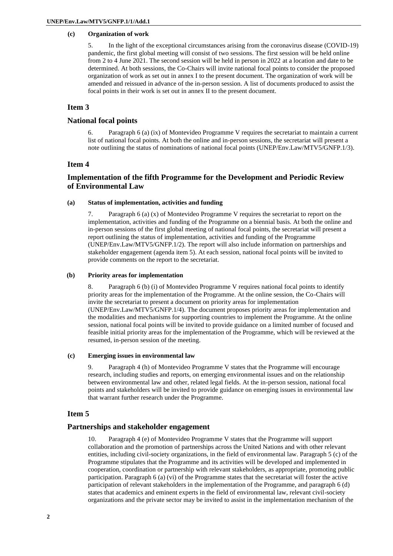### **(c) Organization of work**

5. In the light of the exceptional circumstances arising from the coronavirus disease (COVID-19) pandemic, the first global meeting will consist of two sessions. The first session will be held online from 2 to 4 June 2021. The second session will be held in person in 2022 at a location and date to be determined. At both sessions, the Co-Chairs will invite national focal points to consider the proposed organization of work as set out in annex I to the present document. The organization of work will be amended and reissued in advance of the in-person session. A list of documents produced to assist the focal points in their work is set out in annex II to the present document.

## **Item 3**

## **National focal points**

6. Paragraph 6 (a) (ix) of Montevideo Programme V requires the secretariat to maintain a current list of national focal points. At both the online and in-person sessions, the secretariat will present a note outlining the status of nominations of national focal points (UNEP/Env.Law/MTV5/GNFP.1/3).

## **Item 4**

## **Implementation of the fifth Programme for the Development and Periodic Review of Environmental Law**

#### **(a) Status of implementation, activities and funding**

7. Paragraph 6 (a) (x) of Montevideo Programme V requires the secretariat to report on the implementation, activities and funding of the Programme on a biennial basis. At both the online and in-person sessions of the first global meeting of national focal points, the secretariat will present a report outlining the status of implementation, activities and funding of the Programme (UNEP/Env.Law/MTV5/GNFP.1/2). The report will also include information on partnerships and stakeholder engagement (agenda item 5). At each session, national focal points will be invited to provide comments on the report to the secretariat.

#### **(b) Priority areas for implementation**

8. Paragraph 6 (b) (i) of Montevideo Programme V requires national focal points to identify priority areas for the implementation of the Programme. At the online session, the Co-Chairs will invite the secretariat to present a document on priority areas for implementation (UNEP/Env.Law/MTV5/GNFP.1/4). The document proposes priority areas for implementation and the modalities and mechanisms for supporting countries to implement the Programme. At the online session, national focal points will be invited to provide guidance on a limited number of focused and feasible initial priority areas for the implementation of the Programme, which will be reviewed at the resumed, in-person session of the meeting.

#### **(c) Emerging issues in environmental law**

9. Paragraph 4 (h) of Montevideo Programme V states that the Programme will encourage research, including studies and reports, on emerging environmental issues and on the relationship between environmental law and other, related legal fields. At the in-person session, national focal points and stakeholders will be invited to provide guidance on emerging issues in environmental law that warrant further research under the Programme.

## **Item 5**

### **Partnerships and stakeholder engagement**

10. Paragraph 4 (e) of Montevideo Programme V states that the Programme will support collaboration and the promotion of partnerships across the United Nations and with other relevant entities, including civil-society organizations, in the field of environmental law. Paragraph 5 (c) of the Programme stipulates that the Programme and its activities will be developed and implemented in cooperation, coordination or partnership with relevant stakeholders, as appropriate, promoting public participation. Paragraph 6 (a) (vi) of the Programme states that the secretariat will foster the active participation of relevant stakeholders in the implementation of the Programme, and paragraph 6 (d) states that academics and eminent experts in the field of environmental law, relevant civil-society organizations and the private sector may be invited to assist in the implementation mechanism of the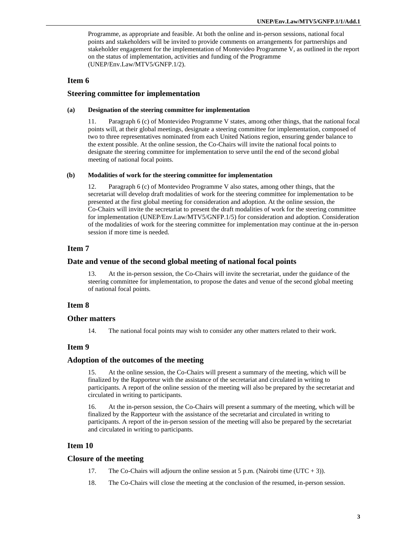Programme, as appropriate and feasible. At both the online and in-person sessions, national focal points and stakeholders will be invited to provide comments on arrangements for partnerships and stakeholder engagement for the implementation of Montevideo Programme V, as outlined in the report on the status of implementation, activities and funding of the Programme (UNEP/Env.Law/MTV5/GNFP.1/2).

## **Item 6**

### **Steering committee for implementation**

#### **(a) Designation of the steering committee for implementation**

11. Paragraph 6 (c) of Montevideo Programme V states, among other things, that the national focal points will, at their global meetings, designate a steering committee for implementation, composed of two to three representatives nominated from each United Nations region, ensuring gender balance to the extent possible. At the online session, the Co-Chairs will invite the national focal points to designate the steering committee for implementation to serve until the end of the second global meeting of national focal points.

#### **(b) Modalities of work for the steering committee for implementation**

12. Paragraph 6 (c) of Montevideo Programme V also states, among other things, that the secretariat will develop draft modalities of work for the steering committee for implementation to be presented at the first global meeting for consideration and adoption. At the online session, the Co-Chairs will invite the secretariat to present the draft modalities of work for the steering committee for implementation (UNEP/Env.Law/MTV5/GNFP.1/5) for consideration and adoption. Consideration of the modalities of work for the steering committee for implementation may continue at the in-person session if more time is needed.

## **Item 7**

#### **Date and venue of the second global meeting of national focal points**

13. At the in-person session, the Co-Chairs will invite the secretariat, under the guidance of the steering committee for implementation, to propose the dates and venue of the second global meeting of national focal points.

### **Item 8**

#### **Other matters**

14. The national focal points may wish to consider any other matters related to their work.

## **Item 9**

## **Adoption of the outcomes of the meeting**

15. At the online session, the Co-Chairs will present a summary of the meeting, which will be finalized by the Rapporteur with the assistance of the secretariat and circulated in writing to participants. A report of the online session of the meeting will also be prepared by the secretariat and circulated in writing to participants.

16. At the in-person session, the Co-Chairs will present a summary of the meeting, which will be finalized by the Rapporteur with the assistance of the secretariat and circulated in writing to participants. A report of the in-person session of the meeting will also be prepared by the secretariat and circulated in writing to participants.

## **Item 10**

#### **Closure of the meeting**

- 17. The Co-Chairs will adjourn the online session at 5 p.m. (Nairobi time (UTC + 3)).
- 18. The Co-Chairs will close the meeting at the conclusion of the resumed, in-person session.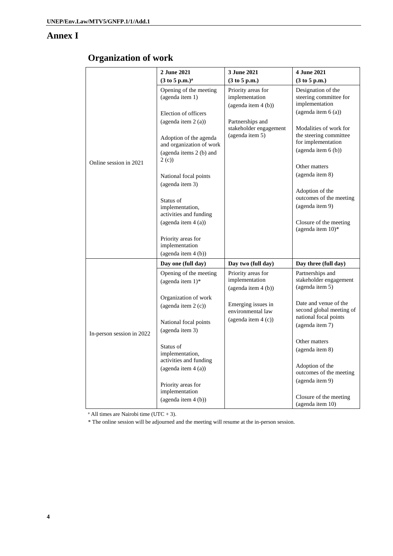# **Annex I**

# **Organization of work**

|                           | 2 June 2021                                                                           | 3 June 2021                                                       | 4 June 2021                                                                                  |
|---------------------------|---------------------------------------------------------------------------------------|-------------------------------------------------------------------|----------------------------------------------------------------------------------------------|
| Online session in 2021    | $(3 \text{ to } 5 \text{ p.m.})^{\text{a}}$                                           | (3 to 5 p.m.)                                                     | (3 to 5 p.m.)                                                                                |
|                           | Opening of the meeting<br>(agenda item 1)<br>Election of officers                     | Priority areas for<br>implementation<br>$(a$ genda item 4 $(b)$ ) | Designation of the<br>steering committee for<br>implementation<br>(agenda item 6(a))         |
|                           | (agenda item 2 (a))                                                                   | Partnerships and                                                  |                                                                                              |
|                           | Adoption of the agenda<br>and organization of work<br>(agenda items 2 (b) and<br>2(c) | stakeholder engagement<br>(agenda item 5)                         | Modalities of work for<br>the steering committee<br>for implementation<br>(agenda item 6(b)) |
|                           |                                                                                       |                                                                   | Other matters                                                                                |
|                           | National focal points                                                                 |                                                                   | (agenda item 8)                                                                              |
|                           | (agenda item 3)<br>Status of<br>implementation,                                       |                                                                   | Adoption of the<br>outcomes of the meeting<br>(agenda item 9)                                |
|                           | activities and funding                                                                |                                                                   |                                                                                              |
|                           | (agenda item 4 (a))                                                                   |                                                                   | Closure of the meeting<br>(agenda item 10)*                                                  |
|                           | Priority areas for<br>implementation                                                  |                                                                   |                                                                                              |
|                           | (agenda item 4 (b))                                                                   |                                                                   |                                                                                              |
| In-person session in 2022 | Day one (full day)                                                                    | Day two (full day)                                                | Day three (full day)                                                                         |
|                           | Opening of the meeting<br>(agenda item $1$ )*                                         | Priority areas for<br>implementation<br>(agenda item 4 (b))       | Partnerships and<br>stakeholder engagement<br>(agenda item 5)                                |
|                           | Organization of work<br>(agenda item 2 (c))                                           | Emerging issues in<br>environmental law                           | Date and venue of the<br>second global meeting of                                            |
|                           | National focal points<br>(agenda item 3)                                              | (agenda item $4(c)$ )                                             | national focal points<br>(agenda item 7)                                                     |
|                           |                                                                                       |                                                                   | Other matters                                                                                |
|                           | Status of<br>implementation,                                                          |                                                                   | (agenda item 8)                                                                              |
|                           | activities and funding                                                                |                                                                   |                                                                                              |
|                           | (agenda item 4(a))                                                                    |                                                                   | Adoption of the<br>outcomes of the meeting                                                   |
|                           |                                                                                       |                                                                   | (agenda item 9)                                                                              |
|                           | Priority areas for<br>implementation                                                  |                                                                   |                                                                                              |
|                           | (agenda item 4(b))                                                                    |                                                                   | Closure of the meeting<br>(agenda item 10)                                                   |

<sup>a</sup> All times are Nairobi time (UTC  $+3$ ).

\* The online session will be adjourned and the meeting will resume at the in-person session.